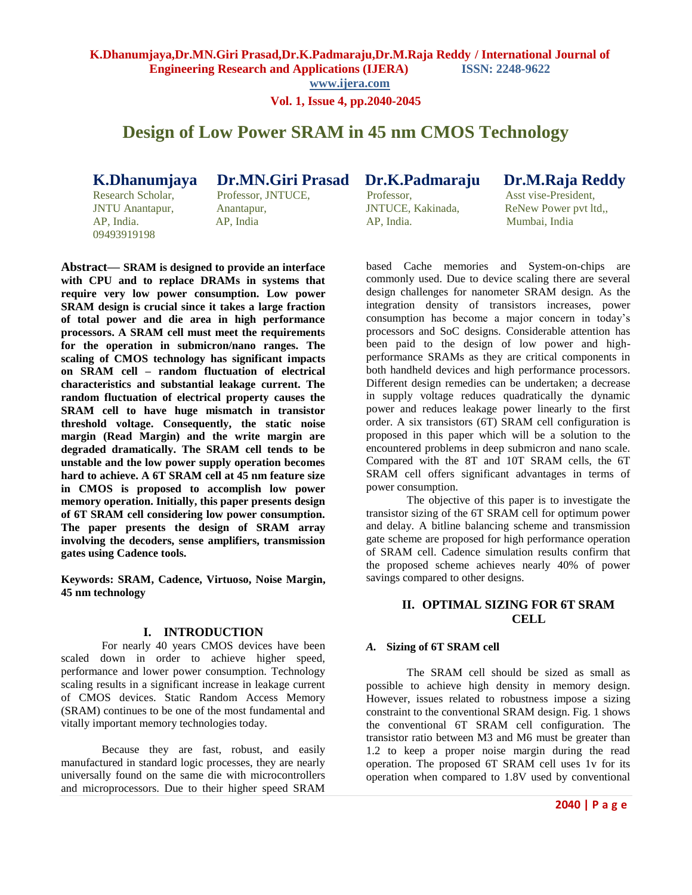**K.Dhanumjaya,Dr.MN.Giri Prasad,Dr.K.Padmaraju,Dr.M.Raja Reddy / International Journal of Engineering Research and Applications (IJERA) ISSN: 2248-9622** 

**www.ijera.com**

**Vol. 1, Issue 4, pp.2040-2045**

# **Design of Low Power SRAM in 45 nm CMOS Technology**

09493919198

Research Scholar, Professor, JNTUCE, Professor, Asst vise-President, JNTU Anantapur, Anantapur, JNTUCE, Kakinada, ReNew Power pvt ltd,, AP, India. AP, India AP, India. Mumbai, India

**K.Dhanumjaya Dr.MN.Giri Prasad Dr.K.Padmaraju Dr.M.Raja Reddy** 

**Abstract— SRAM is designed to provide an interface with CPU and to replace DRAMs in systems that require very low power consumption. Low power SRAM design is crucial since it takes a large fraction of total power and die area in high performance processors. A SRAM cell must meet the requirements for the operation in submicron/nano ranges. The scaling of CMOS technology has significant impacts on SRAM cell – random fluctuation of electrical characteristics and substantial leakage current. The random fluctuation of electrical property causes the SRAM cell to have huge mismatch in transistor threshold voltage. Consequently, the static noise margin (Read Margin) and the write margin are degraded dramatically. The SRAM cell tends to be unstable and the low power supply operation becomes hard to achieve. A 6T SRAM cell at 45 nm feature size in CMOS is proposed to accomplish low power memory operation. Initially, this paper presents design of 6T SRAM cell considering low power consumption. The paper presents the design of SRAM array involving the decoders, sense amplifiers, transmission gates using Cadence tools.**

**Keywords: SRAM, Cadence, Virtuoso, Noise Margin, 45 nm technology**

# **I. INTRODUCTION**

For nearly 40 years CMOS devices have been scaled down in order to achieve higher speed, performance and lower power consumption. Technology scaling results in a significant increase in leakage current of CMOS devices. Static Random Access Memory (SRAM) continues to be one of the most fundamental and vitally important memory technologies today.

Because they are fast, robust, and easily manufactured in standard logic processes, they are nearly universally found on the same die with microcontrollers and microprocessors. Due to their higher speed SRAM

based Cache memories and System-on-chips are commonly used. Due to device scaling there are several design challenges for nanometer SRAM design. As the integration density of transistors increases, power consumption has become a major concern in today's processors and SoC designs. Considerable attention has been paid to the design of low power and highperformance SRAMs as they are critical components in both handheld devices and high performance processors. Different design remedies can be undertaken; a decrease in supply voltage reduces quadratically the dynamic power and reduces leakage power linearly to the first order. A six transistors (6T) SRAM cell configuration is proposed in this paper which will be a solution to the encountered problems in deep submicron and nano scale. Compared with the 8T and 10T SRAM cells, the 6T SRAM cell offers significant advantages in terms of power consumption.

The objective of this paper is to investigate the transistor sizing of the 6T SRAM cell for optimum power and delay. A bitline balancing scheme and transmission gate scheme are proposed for high performance operation of SRAM cell. Cadence simulation results confirm that the proposed scheme achieves nearly 40% of power savings compared to other designs.

# **II. OPTIMAL SIZING FOR 6T SRAM CELL**

# *A.* **Sizing of 6T SRAM cell**

The SRAM cell should be sized as small as possible to achieve high density in memory design. However, issues related to robustness impose a sizing constraint to the conventional SRAM design. Fig. 1 shows the conventional 6T SRAM cell configuration. The transistor ratio between M3 and M6 must be greater than 1.2 to keep a proper noise margin during the read operation. The proposed 6T SRAM cell uses 1v for its operation when compared to 1.8V used by conventional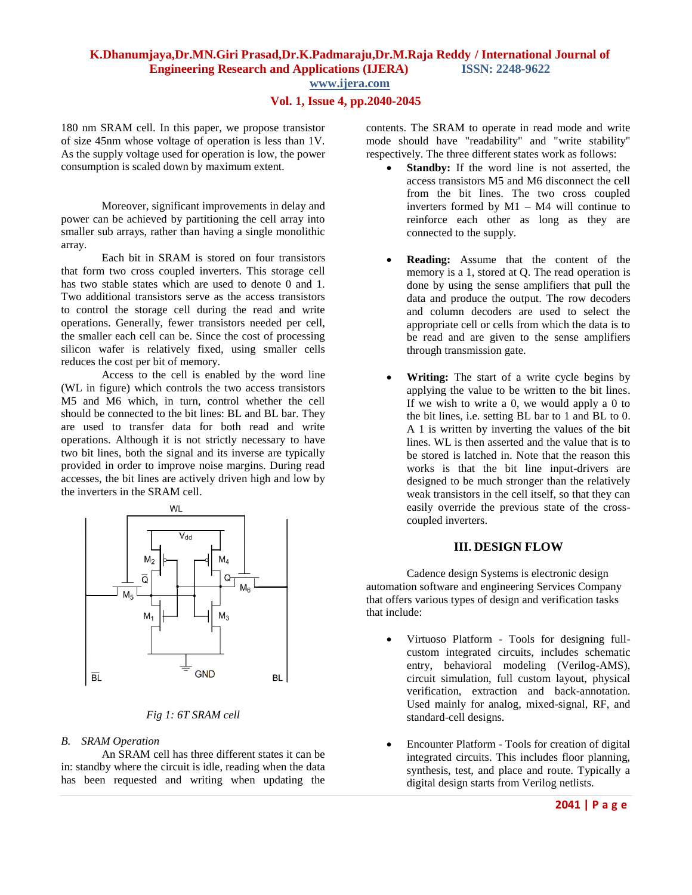# **K.Dhanumjaya,Dr.MN.Giri Prasad,Dr.K.Padmaraju,Dr.M.Raja Reddy / International Journal of Engineering Research and Applications (IJERA) ISSN: 2248-9622 www.ijera.com**

# **Vol. 1, Issue 4, pp.2040-2045**

180 nm SRAM cell. In this paper, we propose transistor of size 45nm whose voltage of operation is less than 1V. As the supply voltage used for operation is low, the power consumption is scaled down by maximum extent.

Moreover, significant improvements in delay and power can be achieved by partitioning the cell array into smaller sub arrays, rather than having a single monolithic array.

Each bit in SRAM is stored on four transistors that form two cross coupled inverters. This storage cell has two stable states which are used to denote 0 and 1. Two additional transistors serve as the access transistors to control the storage cell during the read and write operations. Generally, fewer transistors needed per cell, the smaller each cell can be. Since the cost of processing silicon wafer is relatively fixed, using smaller cells reduces the cost per bit of memory.

Access to the cell is enabled by the word line (WL in figure) which controls the two access transistors M5 and M6 which, in turn, control whether the cell should be connected to the bit lines: BL and BL bar. They are used to transfer data for both read and write operations. Although it is not strictly necessary to have two bit lines, both the signal and its inverse are typically provided in order to improve noise margins. During read accesses, the bit lines are actively driven high and low by the inverters in the SRAM cell.



*Fig 1: 6T SRAM cell*

#### *B. SRAM Operation*

An SRAM cell has three different states it can be in: standby where the circuit is idle, reading when the data has been requested and writing when updating the contents. The SRAM to operate in read mode and write mode should have "readability" and "write stability" respectively. The three different states work as follows:

- **Standby:** If the word line is not asserted, the access transistors M5 and M6 disconnect the cell from the bit lines. The two cross coupled inverters formed by M1 – M4 will continue to reinforce each other as long as they are connected to the supply.
- **Reading:** Assume that the content of the memory is a 1, stored at Q. The read operation is done by using the sense amplifiers that pull the data and produce the output. The row decoders and column decoders are used to select the appropriate cell or cells from which the data is to be read and are given to the sense amplifiers through transmission gate.
- **Writing:** The start of a write cycle begins by applying the value to be written to the bit lines. If we wish to write a 0, we would apply a 0 to the bit lines, i.e. setting BL bar to 1 and BL to 0. A 1 is written by inverting the values of the bit lines. WL is then asserted and the value that is to be stored is latched in. Note that the reason this works is that the bit line input-drivers are designed to be much stronger than the relatively weak transistors in the cell itself, so that they can easily override the previous state of the crosscoupled inverters.

# **III. DESIGN FLOW**

Cadence design Systems is electronic design automation software and engineering Services Company that offers various types of design and verification tasks that include:

- Virtuoso Platform Tools for designing fullcustom integrated circuits, includes schematic entry, behavioral modeling (Verilog-AMS), circuit simulation, full custom layout, physical verification, extraction and back-annotation. Used mainly for analog, mixed-signal, RF, and standard-cell designs.
- Encounter Platform Tools for creation of digital integrated circuits. This includes floor planning, synthesis, test, and place and route. Typically a digital design starts from Verilog netlists.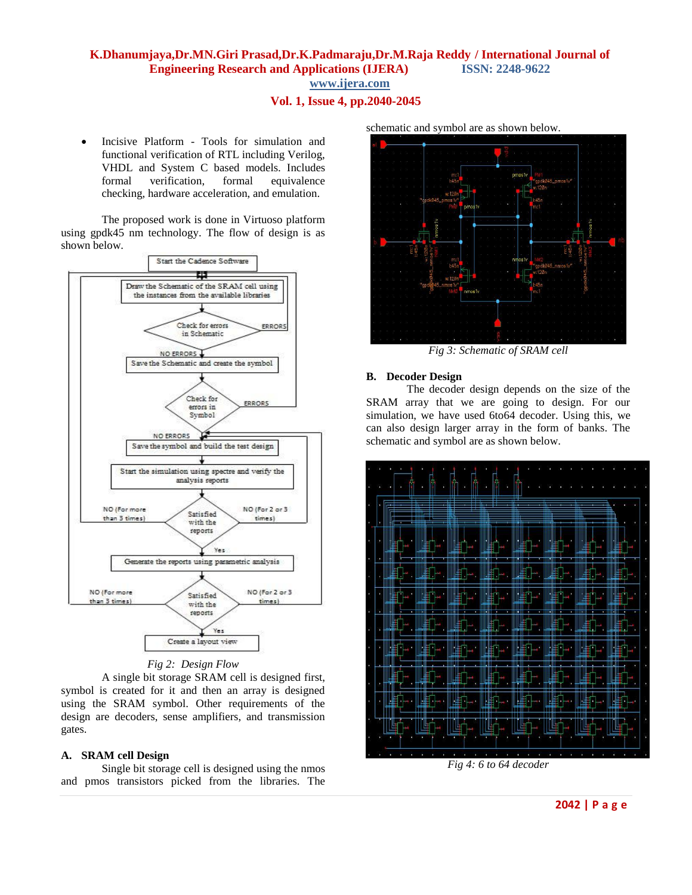# **K.Dhanumjaya,Dr.MN.Giri Prasad,Dr.K.Padmaraju,Dr.M.Raja Reddy / International Journal of Engineering Research and Applications (IJERA) ISSN: 2248-9622 www.ijera.com**

# **Vol. 1, Issue 4, pp.2040-2045**

 Incisive Platform - Tools for simulation and functional verification of RTL including Verilog, VHDL and System C based models. Includes formal verification, formal equivalence checking, hardware acceleration, and emulation.

The proposed work is done in Virtuoso platform using gpdk45 nm technology. The flow of design is as shown below.



### *Fig 2: Design Flow*

A single bit storage SRAM cell is designed first, symbol is created for it and then an array is designed using the SRAM symbol. Other requirements of the design are decoders, sense amplifiers, and transmission gates.

### **A. SRAM cell Design**

Single bit storage cell is designed using the nmos and pmos transistors picked from the libraries. The schematic and symbol are as shown below.



*Fig 3: Schematic of SRAM cell*

#### **B. Decoder Design**

The decoder design depends on the size of the SRAM array that we are going to design. For our simulation, we have used 6to64 decoder. Using this, we can also design larger array in the form of banks. The schematic and symbol are as shown below.



*Fig 4: 6 to 64 decoder*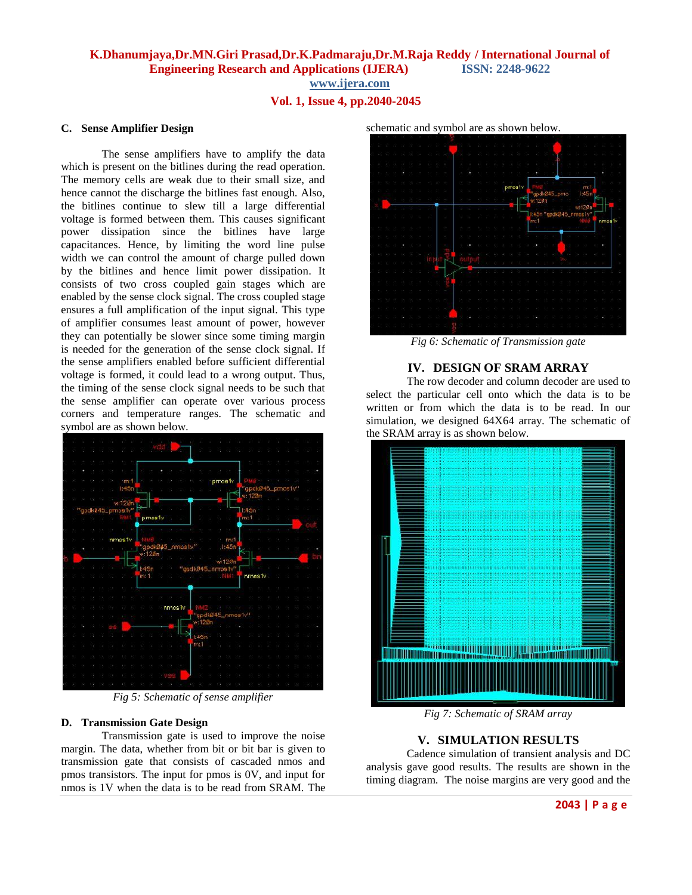**K.Dhanumjaya,Dr.MN.Giri Prasad,Dr.K.Padmaraju,Dr.M.Raja Reddy / International Journal of Engineering Research and Applications (IJERA) ISSN: 2248-9622** 

**www.ijera.com**

# **Vol. 1, Issue 4, pp.2040-2045**

### **C. Sense Amplifier Design**

The sense amplifiers have to amplify the data which is present on the bitlines during the read operation. The memory cells are weak due to their small size, and hence cannot the discharge the bitlines fast enough. Also, the bitlines continue to slew till a large differential voltage is formed between them. This causes significant power dissipation since the bitlines have large capacitances. Hence, by limiting the word line pulse width we can control the amount of charge pulled down by the bitlines and hence limit power dissipation. It consists of two cross coupled gain stages which are enabled by the sense clock signal. The cross coupled stage ensures a full amplification of the input signal. This type of amplifier consumes least amount of power, however they can potentially be slower since some timing margin is needed for the generation of the sense clock signal. If the sense amplifiers enabled before sufficient differential voltage is formed, it could lead to a wrong output. Thus, the timing of the sense clock signal needs to be such that the sense amplifier can operate over various process corners and temperature ranges. The schematic and symbol are as shown below.



*Fig 5: Schematic of sense amplifier*

### **D. Transmission Gate Design**

Transmission gate is used to improve the noise margin. The data, whether from bit or bit bar is given to transmission gate that consists of cascaded nmos and pmos transistors. The input for pmos is 0V, and input for nmos is 1V when the data is to be read from SRAM. The



*Fig 6: Schematic of Transmission gate*

# **IV. DESIGN OF SRAM ARRAY**

The row decoder and column decoder are used to select the particular cell onto which the data is to be written or from which the data is to be read. In our simulation, we designed 64X64 array. The schematic of the SRAM array is as shown below.



*Fig 7: Schematic of SRAM array*

# **V. SIMULATION RESULTS**

Cadence simulation of transient analysis and DC analysis gave good results. The results are shown in the timing diagram. The noise margins are very good and the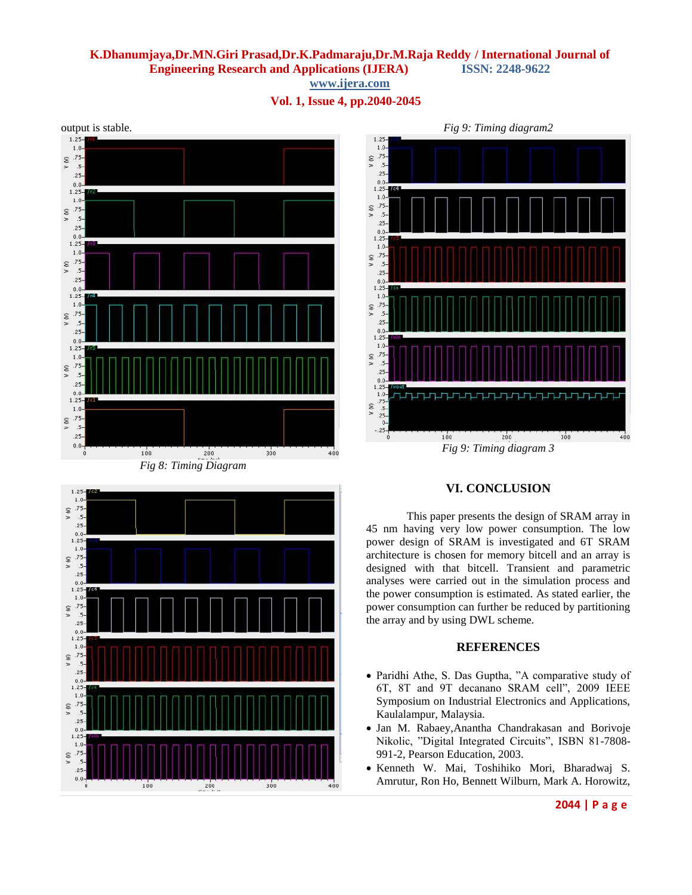# **K.Dhanumjaya,Dr.MN.Giri Prasad,Dr.K.Padmaraju,Dr.M.Raja Reddy / International Journal of Engineering Research and Applications (IJERA) ISSN: 2248-9622**

**www.ijera.com**

**Vol. 1, Issue 4, pp.2040-2045**



*Fig 8: Timing Diagram*





# **VI. CONCLUSION**

This paper presents the design of SRAM array in 45 nm having very low power consumption. The low power design of SRAM is investigated and 6T SRAM architecture is chosen for memory bitcell and an array is designed with that bitcell. Transient and parametric analyses were carried out in the simulation process and the power consumption is estimated. As stated earlier, the power consumption can further be reduced by partitioning the array and by using DWL scheme.

# **REFERENCES**

- Paridhi Athe, S. Das Guptha, "A comparative study of 6T, 8T and 9T decanano SRAM cell", 2009 IEEE Symposium on Industrial Electronics and Applications, Kaulalampur, Malaysia.
- Jan M. Rabaey,Anantha Chandrakasan and Borivoje Nikolic, "Digital Integrated Circuits", ISBN 81-7808- 991-2, Pearson Education, 2003.
- Kenneth W. Mai, Toshihiko Mori, Bharadwaj S. Amrutur, Ron Ho, Bennett Wilburn, Mark A. Horowitz,

**2044 | P a g e**

*Fig 9: Timing diagram2*